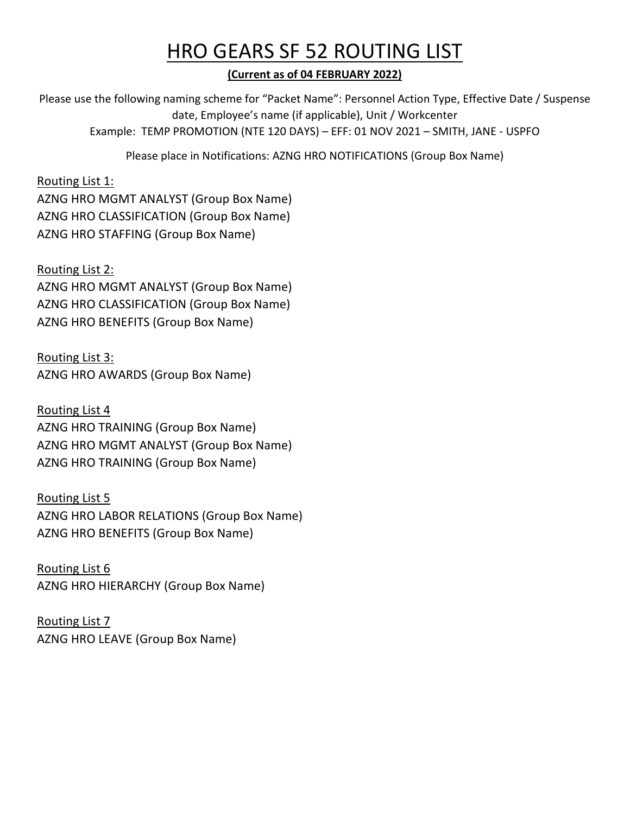## HRO GEARS SF 52 ROUTING LIST

**(Current as of 04 FEBRUARY 2022)**

Please use the following naming scheme for "Packet Name": Personnel Action Type, Effective Date / Suspense date, Employee's name (if applicable), Unit / Workcenter Example: TEMP PROMOTION (NTE 120 DAYS) – EFF: 01 NOV 2021 – SMITH, JANE - USPFO

Please place in Notifications: AZNG HRO NOTIFICATIONS (Group Box Name)

#### Routing List 1:

AZNG HRO MGMT ANALYST (Group Box Name) AZNG HRO CLASSIFICATION (Group Box Name) AZNG HRO STAFFING (Group Box Name)

#### Routing List 2:

AZNG HRO MGMT ANALYST (Group Box Name) AZNG HRO CLASSIFICATION (Group Box Name) AZNG HRO BENEFITS (Group Box Name)

Routing List 3: AZNG HRO AWARDS (Group Box Name)

Routing List 4 AZNG HRO TRAINING (Group Box Name) AZNG HRO MGMT ANALYST (Group Box Name) AZNG HRO TRAINING (Group Box Name)

#### Routing List 5

AZNG HRO LABOR RELATIONS (Group Box Name) AZNG HRO BENEFITS (Group Box Name)

Routing List 6 AZNG HRO HIERARCHY (Group Box Name)

Routing List 7 AZNG HRO LEAVE (Group Box Name)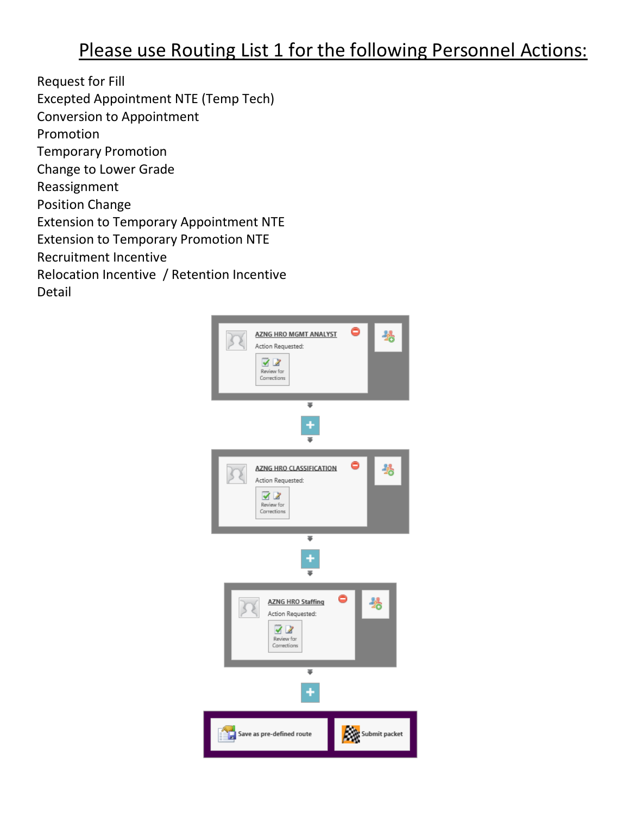### Please use Routing List 1 for the following Personnel Actions:

Request for Fill Excepted Appointment NTE (Temp Tech) Conversion to Appointment Promotion Temporary Promotion Change to Lower Grade Reassignment Position Change Extension to Temporary Appointment NTE Extension to Temporary Promotion NTE Recruitment Incentive Relocation Incentive / Retention Incentive Detail

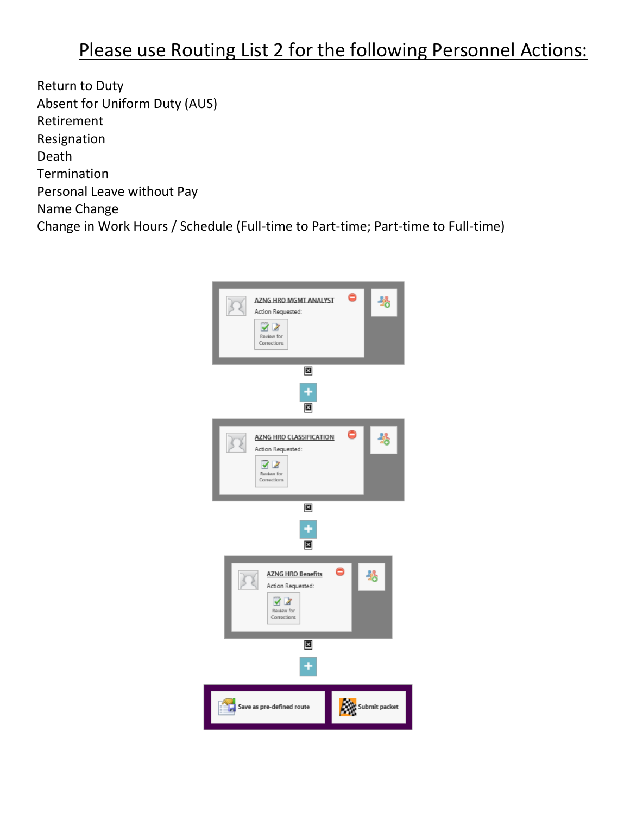### Please use Routing List 2 for the following Personnel Actions:

Return to Duty Absent for Uniform Duty (AUS) Retirement Resignation Death Termination Personal Leave without Pay Name Change Change in Work Hours / Schedule (Full-time to Part-time; Part-time to Full-time)

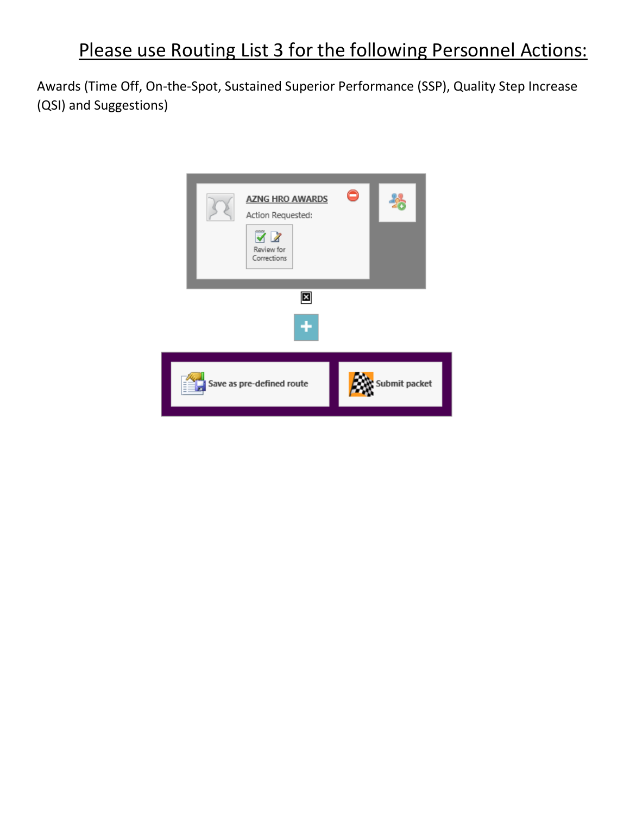# Please use Routing List 3 for the following Personnel Actions:

Awards (Time Off, On-the-Spot, Sustained Superior Performance (SSP), Quality Step Increase (QSI) and Suggestions)

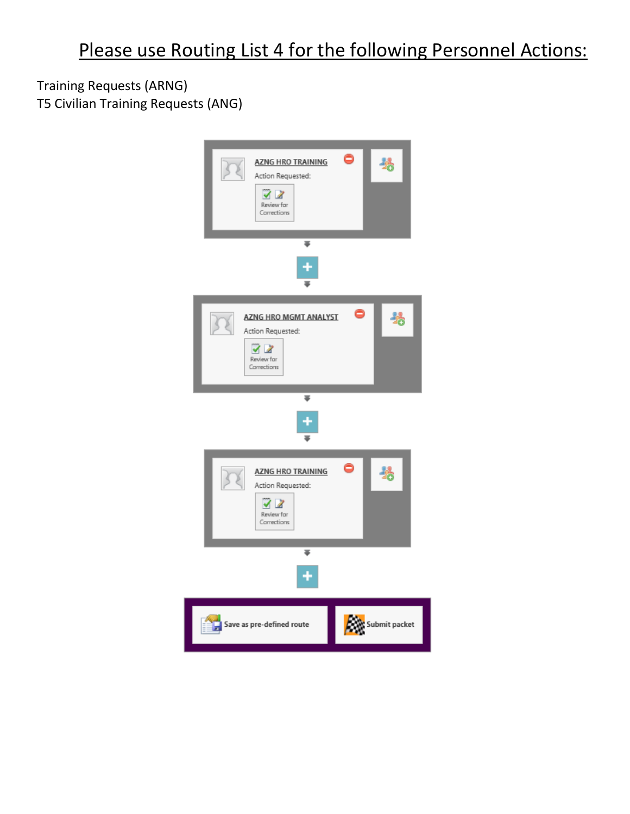Training Requests (ARNG) T5 Civilian Training Requests (ANG)

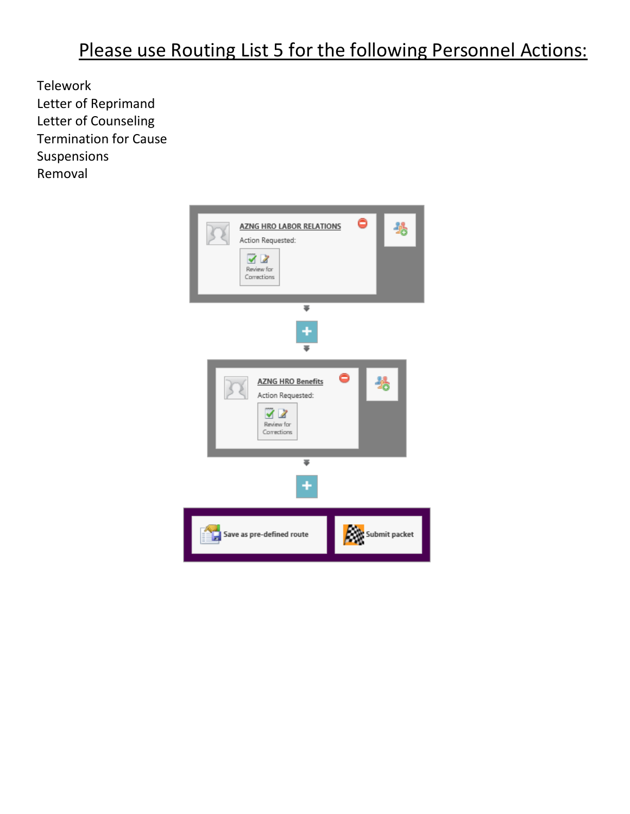# Please use Routing List 5 for the following Personnel Actions:

Telework Letter of Reprimand Letter of Counseling Termination for Cause Suspensions Removal

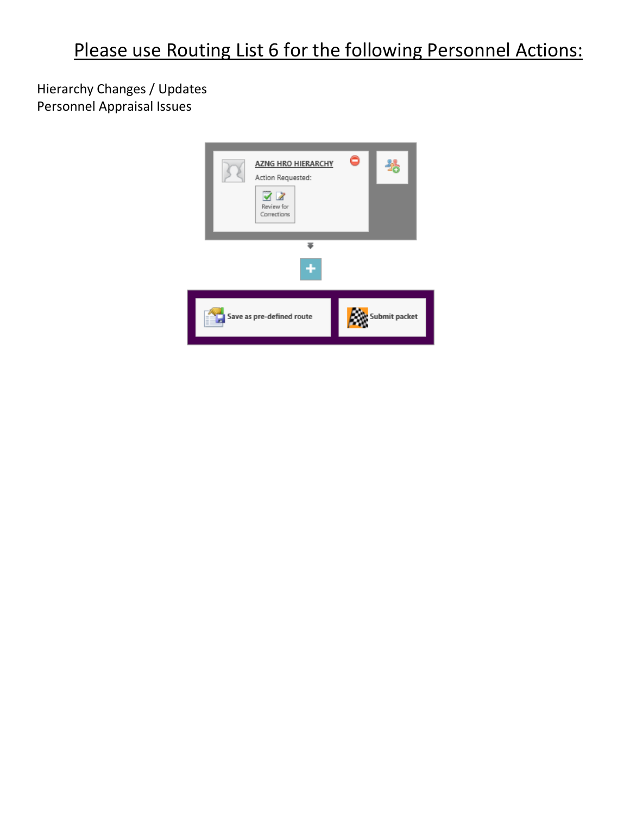Hierarchy Changes / Updates Personnel Appraisal Issues